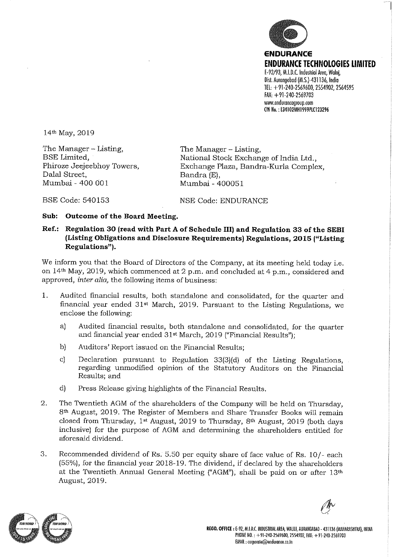

14th May, 2019

The Manager – Listing, BSE Limited, Phiroze Jeejeebhoy Towers, Dalal Street, Mumbai- 400 001

The Manager - Listing, National Stock Exchange of India Ltd., Exchange Plaza, Bandra-Kurla Complex, Bandra (E), Mumbai-400051

BSE Code: 540153

NSE Code: ENDURANCE

# Sub: Outcome of the Board Meeting.

# Ref.: Regulation 30 (read with Part A of Schedule III) and Regulation 33 of the SEBI (Listing Obligations and Disclosure Requirements) Regulations, 2015 ("Listing Regulations").

We inform you that the Board of Directors of the Company, at its meeting held today i.e. on 14th May, 2019, which commenced at 2 p.m. and concluded at 4 p.m., considered and approved, inter alia, the following items of business:

- 1. Audited financial results, both standalone and consolidated, for the quarter and financial year ended 31st March, 2019. Pursuant to the Listing Regulations, we enclose the following:
	- a) Audited financial results, both standalone and consolidated, for the quarter and financial year ended 31st March, 2019 ("Financial Results");
	- b) Auditors' Report issued on the Financial Results;
	- c) Declaration pursuant to Regulation 33(3)(d) of the Listing Regulations, regarding unmodified opinion of the Statutory Auditors on the Financial Results; and
	- d) Press Release giving highlights of the Financial Results.
- 2. The Twentieth AGM of the shareholders of the Company will be held on Thursday, 8th August, 2019. The Register of Members and Share Transfer Books will remain closed from Thursday, 1st August, 2019 to Thursday, 8th August, 2019 (both days inclusive) for the purpose of AGM and determining the shareholders entitled for aforesaid dividend.
- 3. Recommended dividend of Rs. 5.50 per equity share of face value of Rs. 10/- each (55%), for the financial year 2018-19. The dividend, If declared by the shareholders at the Twentieth Annual General Meeting ("AGM"), shall be paid on or after 13th August, 2019.

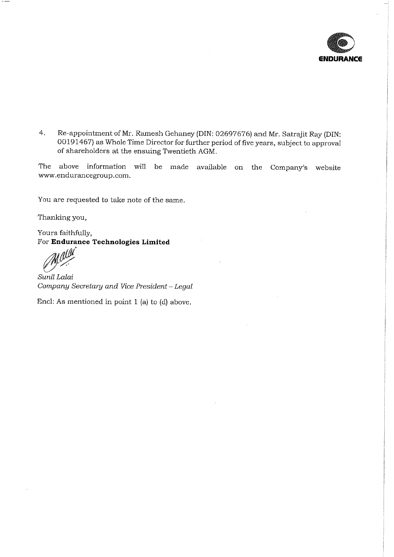

4. Re-appointment of Mr. Ramesh Gehaney (DIN: 02697676} and Mr. Satrajit Ray (DIN: 00191467} as Whole Time Director for further period of five years, subject to approval of shareholders at the ensuing Twentieth AGM.

The above information will be made available on the Company's website www.endurancegroup.com.

You are requested to take note of the same.

Thanking you,

Yours faithfully, For Endurance Technologies Limited

Sunil Laiai Company Secretary and Vice President ~ Legal

End: As mentioned in point 1 (a) to (d) above.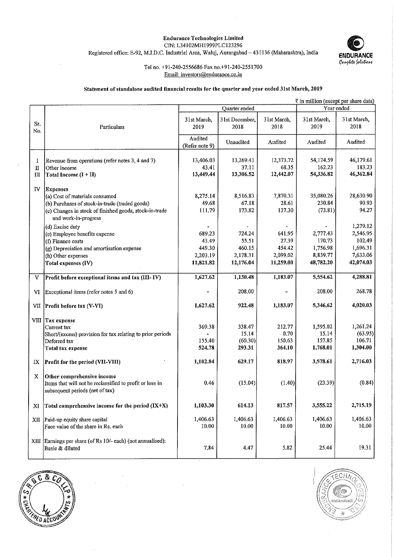### Endurance Technologies Limited CIN: L34102MH1999PLC 123296

Registered office: E-92, M.LD.C. Industrial Area, Waluj,Aurangabad~431136 (Maharashtra), India



## Tel no. +91-240-2556686 Fax no.+91-240-2551700 Email: investors@endurance.co.in

#### Statement of standalone audited financial results for the quarter and year ended 31st March, 2019

|             | ₹ in million (except per share data)                        |                |                |                 |                     |                     |  |
|-------------|-------------------------------------------------------------|----------------|----------------|-----------------|---------------------|---------------------|--|
|             |                                                             |                | Quarter ended  |                 |                     | Year ended          |  |
|             |                                                             |                |                |                 |                     |                     |  |
| Sr.         |                                                             | 31st March,    | 31st December, | 31st March,     | 31st March,<br>2019 | 31st March,<br>2018 |  |
| No.         | Particulars                                                 | 2019           | 2018           | 2018            |                     |                     |  |
|             |                                                             | Audited        |                |                 |                     |                     |  |
|             |                                                             | (Refer note 9) | Unaudited      | Audited         | Audited             | Audited             |  |
|             |                                                             |                |                |                 |                     |                     |  |
| 1           | Revenue from operations (refer notes 3, 4 and 7)            | 13,406.03      | 13,269.41      | 12,373.72       | 54, 174.59          | 46,179.61           |  |
| $\mathbf I$ | Other income                                                | 43.41          | 37.11          | 68.35           | 162.23              | 183.23              |  |
| Ш           | Total Income $(I + II)$                                     | 13,449.44      | 13,306.52      | 12,442.07       | 54,336.82           | 46,362.84           |  |
|             |                                                             |                |                |                 |                     |                     |  |
| IV          | <b>Expenses</b>                                             |                |                |                 |                     |                     |  |
|             | (a) Cost of materials consumed                              | 8,275.14       | 8,516.83       | 7,870.31        | 35,080.26           | 28,630.90           |  |
|             | (b) Purchases of stock-in-trade (traded goods)              | 49.68          | 67.18          | 28.61           | 230.84              | 90.93               |  |
|             | (c) Changes in stock of finished goods, stock-in-trade      | 111.79         | 173.82         | 137.30          | (73.81)             | 94.27               |  |
|             | and work-in-progress                                        |                |                |                 |                     |                     |  |
|             |                                                             |                |                |                 |                     | 1,279.12            |  |
|             | (d) Excise duty                                             | 689.23         | 724.24         | 641.95          | 2,777.43            | 2,546.95            |  |
|             | (e) Employee benefits expense                               |                |                |                 | 170.73              | 102.49              |  |
|             | (f) Finance costs                                           | 43.49          | 55.51          | 27.39<br>454.42 |                     |                     |  |
|             | (g) Depreciation and amortisation expense                   | 449.30         | 460.15         |                 | 1,756.98            | 1,696.31            |  |
|             | (h) Other expenses                                          | 2,203.19       | 2,178.31       | 2,099.02        | 8,839.77            | 7,633.06            |  |
|             | Total expenses (IV)                                         | 11,821.82      | 12,176.04      | 11,259.00       | 48,782.20           | 42,074.03           |  |
|             |                                                             |                |                |                 |                     |                     |  |
| V           | Profit before exceptional items and tax (III-IV)            | 1,627.62       | 1,130.48       | 1,183.07        | 5,554.62            | 4,288.81            |  |
|             |                                                             |                |                |                 |                     |                     |  |
| VI          | Exceptional items (refer notes 5 and 6)                     |                | 208.00         | u,              | 208.00              | 268.78              |  |
|             |                                                             |                | 922.48         | 1,183.07        | 5,346.62            | 4,020.03            |  |
| VШ          | Profit before tax (V-VI)                                    | 1,627.62       |                |                 |                     |                     |  |
|             |                                                             |                |                |                 |                     |                     |  |
|             | VIII Tax expense<br>Current tax                             | 369.38         | 338.47         | 212.77          | 1,595.02            | 1,261.24            |  |
|             | Short/(excess) provision for tax relating to prior periods  |                | 15.14          | 0.70            | 15.14               | (63.95)             |  |
|             | Deferred tax                                                | 155.40         | (60.30)        | 150.63          | 157.85              | 106.71              |  |
|             | Total tax expense                                           | 524.78         | 293.31         | 364.10          | 1,768.01            | 1,304.00            |  |
|             |                                                             |                |                |                 |                     |                     |  |
| IX          | Profit for the period (VII-VIII)                            | 1,102.84       | 629.17         | 818.97          | 3,578.61            | 2,716.03            |  |
|             |                                                             |                |                |                 |                     |                     |  |
| $\mathbf x$ | Other comprehensive income                                  |                |                |                 |                     |                     |  |
|             | Items that will not be reclassified to profit or loss in    | 0.46           | (15.04)        | (1.40)          | (23.39)             | (0.84)              |  |
|             | subsequent periods (net of tax)                             |                |                |                 |                     |                     |  |
|             |                                                             |                |                |                 |                     |                     |  |
|             |                                                             | 1,103.30       | 614.13         | 817.57          | 3,555.22            | 2,715.19            |  |
| XI          | Total comprehensive income for the period $(IX+X)$          |                |                |                 |                     |                     |  |
|             | $XII$ Paid-up equity share capital                          | 1,406.63       | 1,406.63       | 1,406.63        | 1,406.63            | 1,406.63            |  |
|             | Face value of the share in Rs. each                         | 10.00          | 10.00          | 10.00           | 10.00               | 10.00               |  |
|             |                                                             |                |                |                 |                     |                     |  |
|             | XIII Earnings per share (of Rs 10/- each) (not annualised): |                |                |                 |                     |                     |  |
|             | Basic & diluted                                             | 7.84           | 4.47           | 5.82            | 25.44               | 19.31               |  |
|             |                                                             |                |                |                 |                     |                     |  |
|             |                                                             |                |                |                 |                     |                     |  |



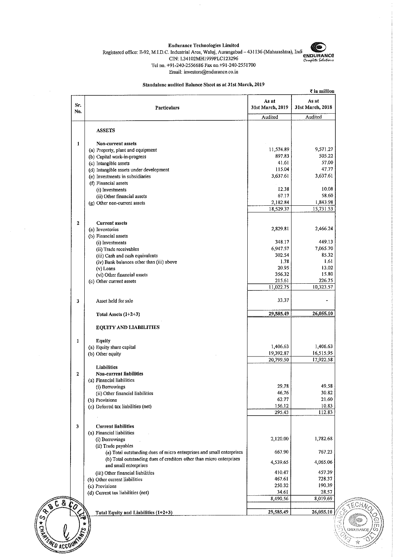

#### Endurance Technologies Limited Registered office: E-92, M.I.D.C. Industrial Area, Waluj, Aurangabad - 431136 (Maharashtra), Indi CIN: L34I02MH1999PLC123296 Te! no. +91-240-2556686 Fax no.+91-240-2551700 Email: investors@endurance.co.in

 $\bar{z}$ 

#### Standalone audited Balance Sheet as at 3Ist March, 2019

| No.<br>$\mathbf{1}$     |                                                                              |                       |                       |
|-------------------------|------------------------------------------------------------------------------|-----------------------|-----------------------|
|                         |                                                                              | Audited               | Audited               |
|                         | <b>ASSETS</b>                                                                |                       |                       |
|                         | Non-current assets                                                           |                       |                       |
|                         | (a) Property, plant and equipment                                            | 11,574.89             | 9,571.27              |
|                         | (b) Capital work-in-progress                                                 | 897,83                | 505.22                |
|                         | (c) Intangible assets                                                        | 41.61                 | 57.00                 |
|                         | (d) Intangible assets under development                                      | 115.04                | 47.77                 |
|                         | (e) Investments in subsidiaries                                              | 3,637.61              | 3,637.61              |
|                         | (f) Financial assets                                                         |                       |                       |
|                         | (i) Investments                                                              | 12,38                 | 10.08                 |
|                         | (ii) Other financial assets                                                  | 67.17                 | 58.60                 |
|                         | (g) Other non-current assets                                                 | 2,182.84<br>18,529.37 | 1,843.98<br>15,731.53 |
|                         |                                                                              |                       |                       |
| 2                       | <b>Current assets</b>                                                        |                       |                       |
|                         | (a) Inventories                                                              | 2,829.81              | 2,466.24              |
|                         | (b) Financial assets                                                         |                       |                       |
|                         | (i) Investments                                                              | 348.17                | 449.13<br>7,065.70    |
|                         | (ii) Trade receivables                                                       | 6.947.57<br>302.54    | 85.32                 |
|                         | (iii) Cash and cash equivalents<br>(iv) Bank balances other than (iii) above | 1.78                  | 1.61                  |
|                         | (v) Loans                                                                    | 20.95                 | 13.02                 |
|                         | (vi) Other financial assets                                                  | 356,32                | 15.80                 |
|                         | (c) Other current assets                                                     | 215.61                | 226.75                |
|                         |                                                                              | 11,022.75             | 10,323.57             |
| 3                       | Asset held for sale                                                          | 33,37                 |                       |
|                         | Total Assets $(1+2+3)$                                                       | 29,585.49             | 26,055.10             |
|                         | <b>EQUITY AND LIABILITIES</b>                                                |                       |                       |
| 1                       | <b>Equity</b>                                                                |                       |                       |
|                         | (a) Equity share capital                                                     | 1,406.63              | 1,406.63              |
|                         | (b) Other equity                                                             | 19,392.87             | 16,515.95             |
|                         |                                                                              | 20,799.50             | 17,922.58             |
|                         | Liabilities                                                                  |                       |                       |
| 2                       | <b>Non-current liabilities</b>                                               |                       |                       |
|                         | (a) Financial liabilities                                                    | 29.78                 | 49.58                 |
|                         | (i) Borrowings<br>(ii) Other financial liabilities                           | 46.76                 | 30.82                 |
|                         | (b) Provisions                                                               | 62.77                 | 21.60                 |
|                         | (c) Deferred tax liabilities (net)                                           | 156.12                | 10.83                 |
|                         |                                                                              | 295,43                | 112.83                |
| $\overline{\mathbf{3}}$ | <b>Current liabilities</b>                                                   |                       |                       |
|                         | (a) Financial liabilities                                                    |                       |                       |
|                         | (i) Borrowings<br>(ii) Trade payables                                        | 2,120.00              | 1,782.68              |
|                         | (a) Total outstanding dues of micro enterprises and small enterprises        | 667.90                | 767,23                |
|                         | (b) Total outstanding dues of creditors other than micro enterprises         | 4,539.65              | 4,065.06              |
|                         | and small enterprises<br>(iii) Other financial liabilities                   | 410.47                | 457.39                |
|                         | (b) Other current liabilities                                                | 467.61                | 728.37                |
|                         | (c) Provisions                                                               | 250.32                | 190.39                |
|                         | (d) Current tax liabilities (net)                                            | 34.61                 | 28,57                 |
|                         |                                                                              | 8,490.56              | 8,019.69              |
| $\hat{c}_o$             | Total Equity and Liabilities (1+2+3)                                         | 29,585.49             | 26,055.10             |

 $\sim$   $\sim$  $\mathcal{A}^{\mathcal{A}}$ 

8

FRED ACCOUNT

 $\frac{1}{2}$ 

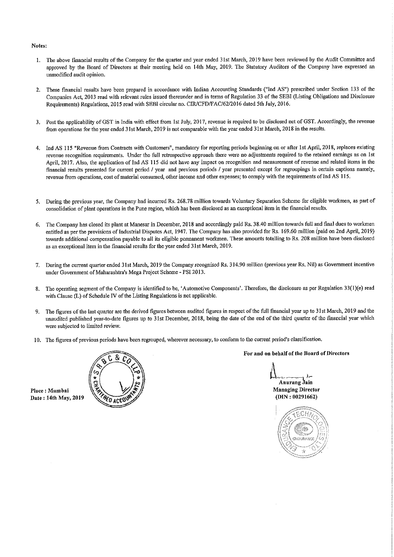#### Notes;

- 1. The above financial results of the Company for the quarter and year ended 31st March, 2019 have been reviewed by the Audit Committee and approved by the Board of Directors at their meeting held on l4th May, 2019, The Statutory Auditors of the Company have expressed an umnodified audit opinion.
- 2. These financial results have been prepared in accordance with Indian Accounting Standards ("Ind AS") prescribed under Section 133 of the Companies Act, 2013 read with relevant rules issued thereunder and in terms of Regulation 33 of the SEBI (Listing Obligations and Disclosure Requirements) Regulations, 2015 read with SEBI circular no. CIR/CFD/FAC/62/2016 dated 5th July, 2016.
- 3. Post the applicability of GST in India with effect from 1st July, 2017, revenue is required to be disclosed net of GST. Accordingly, the revenue from operations for the year ended 31st March, 2019 is not comparable with the year ended 31st March, 2018 in the results.
- 4. Ind AS 115 "Revenue from Contracts with Customers", mandatory for reporting periods beginning on or after 1st April, 2018, replaces existing revenue recognition requirements. Under the full retrospective approach there were no adjustments required to the retained earnings as on 1st April, 2017. Also, the application of Ind AS 115 did not have any impact on recognition and measurement of revenue and related items in the financial results presented for current period / year and previous periods / year presented except for regroupings in certain captions namely, revenue from operations, cost of material consumed, other income and other expenses; to comply with the requirements of Ind AS 115.
- 5. During the previous year, the Company had incurred Rs. 268.78 million towards Voluntary Separation Scheme for eligible workmen, as part of consolidation of plant operations in the Pune region, which has been disclosed as an exceptional item in the financial results,
- 6. The Company has closed its plant at Manesar in December, 2018 and accordingly paid Rs. 38.40 million towards full and fmal dues to workmen entitled as per the provisions of Industrial Disputes Act, 1947. The Company has also provided for Rs. 169.60 million (paid on 2nd April, 2019) towards additional compensation payable to all its eligible permanent workmen. These amounts totalling to Rs. 208 million have been disclosed as an exceptional item in the financial results for the year ended 31st March, 2019.
- 7. During the current quarter ended 31st March, 2019 the Company recognised Rs. 314.90 million (previous year Rs. Nil) as Government incentive under Government of Maharashtra's Mega Project Scheme - PSI 2013.
- 8. The operating segment of the Company is identified to be, 'Automotive Components'. Therefore, the disclosure as per Regulation 33(1)(e) read with Clause (L) of Schedule IV of the Listing Regulations is not applicable.
- 9. The figures of the last quarter are the derived figures between audited figures in respect of the full financial year up to 31st March, 2019 and the unaudited published year-to-date figures up to 31st December, 2018, being the date of the end of the third quarter of the financial year which were subjected to limited review.
- 10. The figures of previous periods have been regrouped, wherever necessary, to conform to the current period's ciassification.



For and on behalf of the Board of Directors

Anurang Jain

)1—

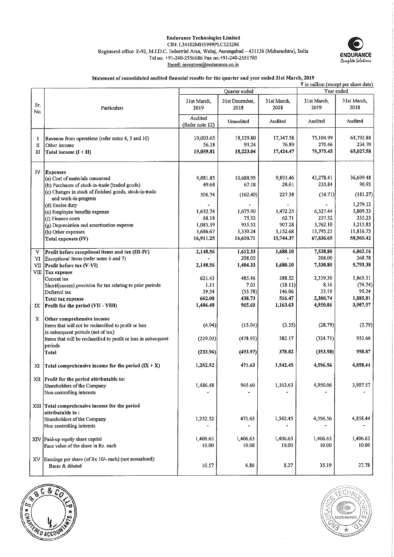#### Endurance Technologies Limited CIN: L34102MH1999PLC123296 Registered office: E-92, M.I.D.C. Industrial Area, Waluj, Aurangabad-431136 (Maharashtra), India Tel no. +91-240-2556686 Faxno.+9I-240-2551700 Email: investors@endurance.co.in



#### Statement of consolidated audited financial results for the quarter and year ended 3ist March, 2019

|            |                                                                                                                                |                            |                        |                     |                     | ₹ in million (except per share data) |
|------------|--------------------------------------------------------------------------------------------------------------------------------|----------------------------|------------------------|---------------------|---------------------|--------------------------------------|
|            |                                                                                                                                |                            | Quarter ended          |                     |                     | Year ended                           |
| Sr.<br>No. | Particulars                                                                                                                    | 31st March,<br>2019        | 31st December,<br>2018 | 31st March,<br>2018 | 31st March<br>2019  | 31st March,<br>2018                  |
|            |                                                                                                                                | Audited<br>(Refer note 12) | Unaudited              | Audited             | Audited             | Audited                              |
| -1<br>п    | Revenue from operations (refer notes 4, 5 and 10)<br>Other income                                                              | 19,003.63<br>56.18         | 18,129.80<br>93.24     | 17,347.58<br>76.89  | 75,104.99<br>270.46 | 64,792.88<br>234.70                  |
| Ш          | Total income (I + II)                                                                                                          | 19,059.81                  | 18,223.04              | 17,424.47           | 75,375.45           | 65,027.58                            |
| ΙV         | <b>Expenses</b><br>(a) Cost of materials consumed                                                                              | 9,881.85                   | 10,688.95              | 9,893.46            | 43,278.41           | 36,699.48                            |
|            | (b) Purchases of stock-in-trade (traded goods)                                                                                 | 49.68                      | 67.18                  | 28,61               | 230.84              | 90.93                                |
|            | (c) Changes in stock of finished goods, stock-in-trade                                                                         |                            |                        |                     |                     |                                      |
|            | and work-in-progress<br>(d) Excise duty                                                                                        | 506.74                     | (162.40)               | 227.38              | (14.71)             | (181.27)<br>1,279.12                 |
|            | (e) Employee benefits expense                                                                                                  | 1,632.74                   | 1,675.90               | 1,472.25            | 6,527.44            | 5,809.33                             |
|            | (f) Finance costs                                                                                                              | 68.18                      | 75.32                  | 62.71               | 257.32              | 235.23                               |
|            | (g) Depreciation and amortisation expense                                                                                      | 1,085.39                   | 935.52                 | 907.28              | 3.762.10            | 3,215.85                             |
|            | (h) Other expenses                                                                                                             | 3,686.67                   | 3,330.24               | 3,152.68            | 13,795.25           | 11,816.75                            |
|            | Total expenses (IV)                                                                                                            | 16,911.25                  | 16,610.71              | 15,744.37           | 67,836.65           | 58,965.42                            |
|            |                                                                                                                                |                            |                        |                     |                     |                                      |
| V          | Profit before exceptional items and tax (III-IV)                                                                               | 2,148.56                   | 1,612.33               | 1,680.10            | 7,538.80            | 6,062.16                             |
| VI         | Exceptional items (refer notes 6 and 7)                                                                                        |                            | 208.00                 |                     | 208.00              | 268.78                               |
| VII        | Profit before tax (V-VI)<br>VIII Tax expense                                                                                   | 2,148.56                   | 1,404.33               | 1,680.10            | 7,330.80            | 5,793.38                             |
|            | Current tax                                                                                                                    | 621.43                     | 485.46                 | 388.52              | 2,339.39            | 1,865.31                             |
|            | Short/(excess) provision for tax relating to prior periods                                                                     | 1.11                       | 7.05                   | (18.11)             | 8.16                | (74.74)                              |
|            | Deferred tax                                                                                                                   | 39.54                      | (53.78)                | 146.06              | 33.19               | 95.24                                |
|            | <b>Total tax expense</b>                                                                                                       | 662.08                     | 438.73                 | 516.47              | 2,380.74            | 1,885.81                             |
| IX         | Profit for the period (VII - VIII)                                                                                             | 1,486.48                   | 965.60                 | 1,163.63            | 4,950.06            | 3,907.57                             |
| X          | Other comprehensive income<br>Items that will not be reclassified to profit or loss<br>in subsequent periods (net of tax)      | (4.94)                     | (15.04)                | (3.35)              | (28.79)             | (2.79)                               |
|            | Items that will be reclassified to profit or loss in subsequent<br>periods                                                     | (229.02)                   | (478.93)               | 382.17              | (324.71)            | 953.66                               |
|            | Total                                                                                                                          | (233.96)                   | (493.97)               | 378.82              | (353.50)            | 950.87                               |
| XI         | Total comprehensive income for the period $(IX + X)$                                                                           | 1,252.52                   | 471.63                 | 1,542.45            | 4,596.56            | 4,858.44                             |
|            | XII Profit for the period attributable to:<br>Shareholders of the Company<br>Non controlling interests                         | 1,486.48                   | 965.60                 | 1,163.63            | 4,950.06            | 3,907.57                             |
|            | XIII Total comprehensive income for the period<br>attributable to:<br>Shareholders of the Company<br>Non controlling interests | 1,252.52                   | 471.63                 | 1,542.45            | 4.596.56            | 4,858.44                             |
|            | XIV Paid-up equity share capital<br>Face value of the share in Rs. each                                                        | 1,406.63<br>10.00          | 1,406.63<br>10.00      | 1,406.63<br>10.00   | 1,406.63<br>10.00   | 1,406.63<br>10.00                    |
| XV         | Earnings per share (of Rs 10/- each) (not annualised):<br>Basic & diluted                                                      | 10.57                      | 6.86                   | 8.27                | 35.19               | 27.78                                |



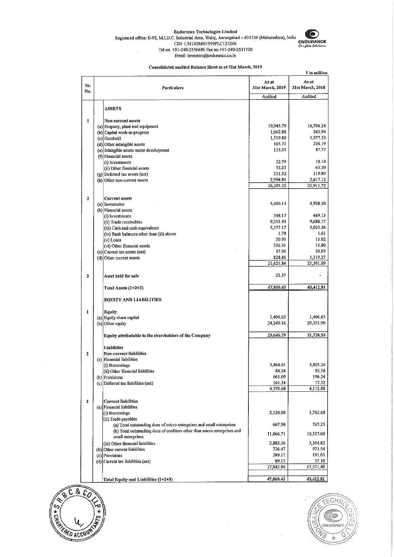#### Endurance Technologies Limited

Registered office: E-92, M.I.D.C. Industrial Area, Waluj, Aurangabad - 431136 (Matiarasiitra), India CJN: L34102MH1999PLCI23296 Tet no. +91-240-2556686 Fax no.+91"240"2551700



Email: in vestors@endurance.co, in Consolidated audited Balance Sheet as at 31st March, 2019

|                  |                                                                                               |                           | ₹ in million              |
|------------------|-----------------------------------------------------------------------------------------------|---------------------------|---------------------------|
| Sr.<br>No.       | Particulars                                                                                   | As at<br>31st March, 2019 | As at<br>31st March, 2018 |
|                  |                                                                                               | Audited                   | Audited                   |
|                  | <b>ASSETS</b>                                                                                 |                           |                           |
|                  |                                                                                               |                           |                           |
| 1                | Non-current assets                                                                            |                           |                           |
|                  | (a) Property, plant and equipment                                                             | 19,945.79                 | 16,706.24<br>543,94       |
|                  | (b) Capital work-in-progress                                                                  | 1,062.88                  | 1,577.23                  |
|                  | (c) Goodwill                                                                                  | 1,519.80<br>165.71        | 226.19                    |
|                  | (d) Other intangible assets                                                                   | 115.05                    | 47.77                     |
|                  | (e) Intangible assets under development                                                       |                           |                           |
|                  | (f) Financial assets<br>(i) Investments                                                       | 12.79                     | 10.14                     |
|                  |                                                                                               | 73.07                     | 63.20                     |
|                  | (ii) Other financial assets<br>(g) Deferred tax assets (net)                                  | 311.32                    | 119.89                    |
|                  | (h) Other non-current assets                                                                  | 2,998.81                  | 2,617.12                  |
|                  |                                                                                               | 26,205.22                 | 21,911.72                 |
|                  |                                                                                               |                           |                           |
| 2                | <b>Current assets</b>                                                                         |                           |                           |
|                  | (a) Inventories                                                                               | 5,400.14                  | 4,938.50                  |
|                  | (b) Financial assets                                                                          |                           |                           |
|                  | (i) Investments                                                                               | 348.17                    | 449.13                    |
|                  | (ii) Trade receivables                                                                        | 9,251.40                  | 9,688,17                  |
|                  | (iii) Cash and cash equivalents                                                               | 5,377.17                  | 5,025.56                  |
|                  | (iv) Bank balances other than (iii) above                                                     | 1.78                      | 1.61                      |
|                  | (v) Loans                                                                                     | 20.95                     | 13.02                     |
|                  | (vi) Other financial assets                                                                   | 356.31                    | 15.80                     |
|                  | (c) Current tax assets (net)                                                                  | 37.06                     | 50.03                     |
|                  | (d) Other current assets                                                                      | 828.86                    | 1,319,27                  |
|                  |                                                                                               | 21,621.84                 | 21,501.09                 |
| 3                | Asset held for sale                                                                           | 33.37                     |                           |
|                  | Total Assets (1+2+3)                                                                          | 47,860.43                 | 43,412.81                 |
|                  | EQUITY AND LIABILITIES                                                                        |                           |                           |
| $\mathbf{1}$     | Equity                                                                                        |                           |                           |
|                  | (a) Equity share capital                                                                      | 1,406.63                  | 1,406.63                  |
|                  | (b) Other equity                                                                              | 24,240.16                 | 20,321.90                 |
|                  |                                                                                               |                           |                           |
|                  | Equity attributable to the shareholders of the Company                                        | 25,646.79                 | 21,728.53                 |
|                  | <b>Liabilities</b>                                                                            |                           |                           |
| $\boldsymbol{2}$ | Non-current liabilities                                                                       |                           |                           |
|                  | (a) Financial liabilities                                                                     |                           | 3,803.26                  |
|                  | (i) Borrowings                                                                                | 3,464.01                  | 95.76                     |
|                  | (ii) Other financial liabilities                                                              | 84.24                     | 196.54                    |
|                  | (b) Provisions                                                                                | 661.09<br>161.34          | 17.32                     |
|                  | (c) Deferred tax liabilities (net)                                                            | 4,370.68                  | 4,112.88                  |
|                  |                                                                                               |                           |                           |
| 3                | <b>Current liabilities</b>                                                                    |                           |                           |
|                  | (a) Financial liabilities                                                                     |                           |                           |
|                  | (i) Borrowings                                                                                | 2,120.00                  | 1,782.68                  |
|                  | (ii) Trade payables                                                                           |                           |                           |
|                  | (a) Total outstanding dues of micro enterprises and small enterprises                         | 667.90                    | 767,23                    |
|                  | (b) Total outstanding dues of creditors other than micro enterprises and<br>small enterprises | 11,066.71                 | 10,517.00                 |
|                  | (iii) Other financial liabilities                                                             | 2,883.56                  | 3,304.82                  |
|                  | (b) Other current liabilities                                                                 | 726.47                    | 971.54                    |
|                  | (c) Provisions                                                                                | 289.17                    | 191.03                    |
|                  | (d) Current tax liabilities (net)                                                             | 89.15                     | 37.10                     |
|                  |                                                                                               | 17,842.96                 | 17,571.40                 |
|                  |                                                                                               |                           |                           |
|                  | Total Equity and Liabilities (1+2+3)                                                          | 47,860.43                 | 43,412.81                 |

 $\bar{z}$ 



 $\epsilon$ J.

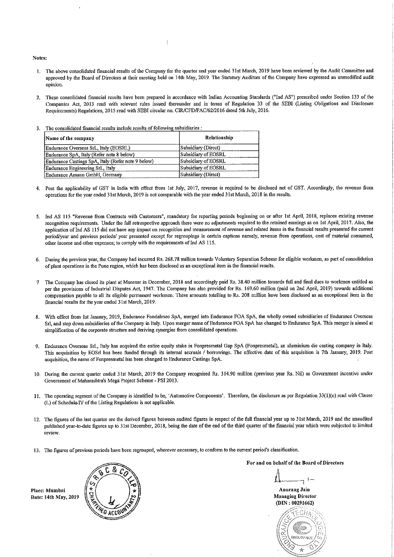#### Notes:

- 1. The above consolidated financial results of the Company for the quarter and year ended 31st March, 2019 have been reviewed by the Audit Committee and approved by the Board of Directors at their meeting held on 14th May, 2019. The Statutory Auditors of the Company have expressed an unmodified audit opinion.
- 2. These consolidated financial results have been prepared in accordance with Indian Accounting Standards ("Ind AS") prescribed under Section 133 of the Companies Act, 2013 read with relevant mles issued thereunder and in terms of Regulation 33 of the SEBI (Listing Obligations and Disclosure Requirements) Regulations, 2015 read with SEBI circular no. CIR/CFD/FAC/62/2016 dated 5th July, 2016.

| The consolidated financial results include results of following subsidiaries : |  |
|--------------------------------------------------------------------------------|--|
|                                                                                |  |
|                                                                                |  |

| Name of the company                                | Relationship        |
|----------------------------------------------------|---------------------|
| Endurance Overseas SrL, Italy (EOSRL)              | Subsidiary (Direct) |
| Endurance SpA, Italy (Refer note 8 below)          | Subsidiary of EOSRL |
| Endurance Castings SpA, Italy (Refer note 9 below) | Subsidiary of EOSRL |
| Endurance Engineering SrL, Italy                   | Subsidiary of EOSRL |
| Endurance Amann GmbH, Germany                      | Subsidiary (Direct) |

- 4. Post the applicability of GST in India with effect from 1st July, 2017, revenue is required to be disclosed net of GST. Accordingly, the revenue from operations for the year ended 31st March, 2019 is not comparable with the year ended 31st March, 2018 in the results.
- 5. Ind AS 115 "Revenue from Contracts with Customers", mandatory for reporting periods beginning on or after 1st April, 2018, replaces existing revenue recognition requirements. Under the full retrospective approach there were no adjustments required to the retained earnings as on 1st April, 2017. Also, the application of Ind AS 115 did not have any impact on recognition and measurement of revenue and related items in the financial results presented for current psriod/year and previous periods/ year presented except for regroupings in certain captions namely, revenue from operations, cost of material consumed, other income and other expenses; to comply with the requirements of Ind AS 115.
- 6. During the previous year, the Company had incurred Rs. 268.78 million towards Voluntary Separation Scheme for eligible workmen, as part of consolidation of plant operations in the Pune region, which has been disclosed as an exceptional item in the financial results.
- 7 The Company has closed its plant at Manesar in December, 2018 and accordingly paid Rs. 38.40 million towards full and final dues to workmen entitled as per the provisions of Industrial Disputes Act, 1947. The Company has also provided for Rs. 169.60 million (paid on 2nd April, 2019) towards additional compensation payable to all its eligible permanent workmen. These amounts totalling to Rs. 208 million have been disclosed as an exceptional item in the financial results for the year ended 3Ist March, 2019,
- 8. With effect from 1st January, 2019, Endurance Fondalmec SpA, merged into Endurance FOA SpA, the wholly owned subsidiaries of Endurance Overseas Sri, and step down subsidiaries of the Company in Italy. Upon merger name of Endurance FOA SpA has changed to Endurance SpA. This merger is aimed at simplification of the corporate structure and deriving synergies from consolidated operations.
- Endurance Overseas Sri., Italy has acquired the entire equity stake in Fonpresmetal Gap SpA (Fonpresmefal), an aluminium die casting company in Italy. This acquisition by EOSrl has been funded through its internal accruals / borrowings. The effective date of this acquisition is 7th January, 2019, Post acquisition, the name of Fonpresmetal has been changed to Endurance Castings SpA.
- 10. During the current quarter ended 3lst March, 2019 the Company recognised Rs. 314.90 million (previous year Rs. Nil) as Government incentive under Government of Maharashfra's Mega Project Scheme - PSI2013.
- 11. The operating segment of the Company is identified to be, 'Automotive Components'. Therefore, the disclosure as per Regulation 33(l)(e) read with Clause (L) of Schedule IV of the Listing Regulations is not applicable.
- 12, The figures of the last quarter are the derived figures between audited figures in respect of the full financial year up to 31st March, 2019 and the unaudited published year-to-date figures up to 31st December, 2018, being the date of the end of the third quarter of the financial year which were subjected to limited review.
- 13. The figures of previous periods have been regrouped, wherever necessary, to conform to the current period's classification.

Place: Mumbai Date: 14fh May, 2019



For and on behalf of the Board of Directors

Anurang Jain Managing Director (DIN:00291662)

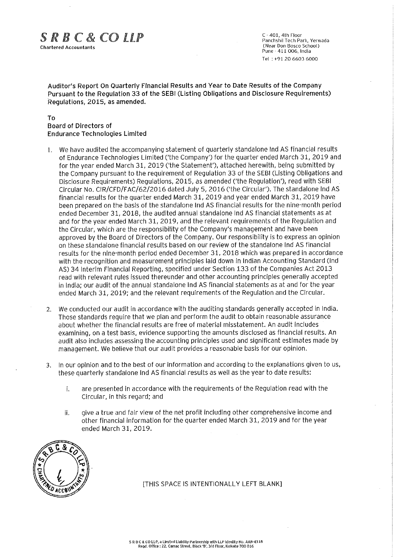# $S \, R \, B \, C \, \& \, CO \, LLP$ <br>Chartered Accountants (Near- Don 20Scotland 60Scotland 60Scotland 60Scotland 60Scotland 60Scotland 60Scotland

 $C - 401$ , 4th Floor Panchshil Tech Park, Yerwada Pune-411 006. India Tel ;+91 206603 6000

Auditor's Report On Quarterly Financial Results and Year to Date Results of the Company Pursuant to the Regulation 33 of the SEBI (Listing Obligations and Disclosure Requirements) Regulations, 2015, as amended.

### To Board of Directors of Endurance Technologies Limited

- 1. We have audited the accompanying statement of quarterly standalone Ind AS financial results of Endurance Technologies Limited ('the Company') for the quarter ended March 31, 2019 and for the year ended March 31, 2019 ('the Statement'), attached herewith, being submitted by the Company pursuant to the requirement of Requlation 33 of the SEBI (Listing Obligations and Disclosure Requirements) Regulations, 2015, as amended ('the Regulation'), read with SEBI . Circular No. CIR/CFD/FAC/62/2016 dated July 5, 2016 ('the Circular'). The standalone Ind AS financial results for the quarter ended March 31, 2019 and year ended March 31, 2019 have been prepared on the basis of the standalone Ind AS financial results for the nine-month period ended December 31, 2018, the audited annual standalone Ind AS financial statements as at and for the year ended March 31, 2019, and the relevant requirements of the Regulation and the Circular, which are the responsibility of the Company's management and have been approved by the Board of Directors of the Company. Our responsibility is to express an opinion on these standalone financial results based on our review of the standalone Ind AS financial results for the nine-month period ended December 31, 2018 which was prepared in accordance with the recognition and measurement principles laid down in Indian Accounting Standard (Ind AS) 34 Interim Financial Reporting, specified under Section 133 of the Companies Act 2013 read with relevant rules issued thereunder and other accounting principles generally accepted in india; our audit of the annual standalone Ind AS financial statements as at and for the year ended March 31, 2019; and the relevant requirements of the Regulation and the Circular.
- 2. We conducted our audit in accordance with the auditing standards generally accepted in India. Those standards require that we plan and perform the audit to obtain reasonable assurance about whether the financial results are free of material misstatement. An audit includes examining, on a test basis, evidence supporting the amounts disclosed as financial results. An audit aiso includes assessing the accounting principles used and significant estimates made by management. We believe that our audit provides a reasonable basis for our opinion.
- 3. In our opinion and to the best of our information and according to the explanations given to us, these quarterly standalone Ind AS financial resuits as well as the year to date results:
	- i. are presented in accordance with the requirements of the Regulation read with the Circular, in this regard; and
	- ii. give a true and fair view of the net profit including other comprehensive income and other financial information for the quarter ended March 31, 2019 and for the year ended March 31, 2019.



[THIS SPACE IS INTENTIONALLY LEFT BLANK]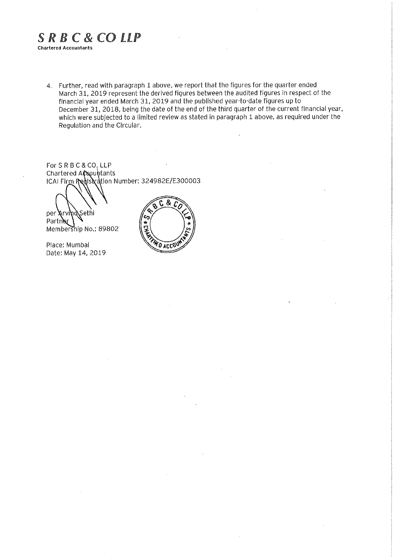# SRBC&COLLP Chartered Accountants

Further, read with paragraph 1 above, we report that the figures for the quarter ended March 31, 2019 represent the derived figures between the audited figures in respect of the financial year ended March 31, 2019 and the published year-to-date figures up to December 31, 2018, being the date of the end of the third quarter of the current financial year, which were subjected to a limited review as stated in paragraph 1 above, as required under the Regulation and the Circular.

For SRBC&CO, LLP Chartered A**ር**sountants ICAI Firm RedisNation Number: 324982E/E300003

per **A**rvind Sethi

Partner Membership No.: 89802

Place: Mumbai Date: May 14,2019

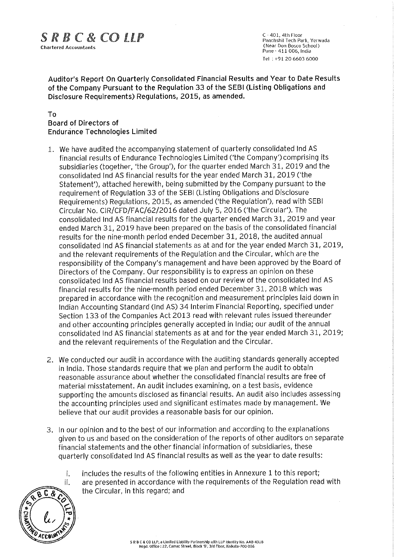# $S \, R \, B \, C \, \& \, CO \, LLP$ <br>  $\begin{array}{ccc} \text{C-401, 4th Floor} & \text{Panchshil Tech Park, Yerv} \\ \text{Chartered Accountants} & \text{(Near Don Bosco School)} \\ \text{(Near Don Bosco School)} & \text{(New Don BoanCo School)} \\ \end{array}$

 $C - 401$ , 4th Floor Psnchshil Tech Park, Yerwada Pune - 411 006, India Tel :+91 2066036000

Auditor's Report On Quarterly Consolidated Financial Results and Year to Date Results of the Company Pursuant to the Regulation 33 of the SEBI (Listing Obligations and Disclosure Requirements) Regulations, 2015, as amended.

## To Board of Directors of Endurance Technologies Limited

- 1. We have audited the accompanying statement of quarterly consolidated Ind AS financial results of Endurance Technologies Limited ('the Company')comprising its subsidiaries (together, 'the Group'), for the quarter ended March 31, 2019 and the consolidated Ind AS financial results for the year ended March 31, 2019 ('the Statement'), attached herewith, being submitted by the Company pursuant to the requirement of Regulation 33 of the SEBI (Listing Obligations and Disclosure Requirements) Regulations, 2015, as amended ('the Regulation'), read with SEBi Circular No. CIR/CFD/FAC/62/2016 dated July 5, 2016 ('the Circular'). The consolidated !nd AS financial results for the quarter ended March 31, 2019 and year ended March 31, 2019 have been prepared on the basis of the consolidated financial results for the nine-month period ended December 31, 2018, the audited annual consolidated Ind AS financial statements as at and for the year ended March 31, 2019, and the relevant requirements of the Regulation and the Circular, which are the responsibility of the Company's management and have been approved by the Board of Directors of the Company. Our responsibility is to express an opinion on these consolidated Ind AS financial results based on our review of the consolidated Ind AS financial results for the nine-month period ended December 31, 2018 which was prepared in accordance with the recognition and measurement principles laid down in Indian Accounting Standard (Ind AS) 34 Interim Financial Reporting, specified under Section 133 of the Companies Act 2013 read with relevant rules issued thereunder and other accounting principles generally accepted in India; our audit of the annual consolidated Ind AS financial statements as at and for the year ended March 31, 2019; and the relevant requirements of the Regulation and the Circular.
- 2. We conducted our audit in accordance with the auditing standards generally accepted in India. Those standards require that we plan and perform the audit to obtain reasonable assurance about whether the consolidated financial results are free of material misstatement. An audit includes examining, on a test basis, evidence supporting the amounts disclosed as financial results. An audit also includes assessing the accounting principles used and significant estimates made by management. We believe that our audit provides a reasonable basis for our opinion.
- 3. In our opinion and to the best of our information and according to the explanations given to us and based on the consideration of the reports of other auditors on separate financial statements and the other financial information of subsidiaries, these quarterly consolidated Ind AS financial results as we!i as the year to date results:
	- i. includes the results of the following entities in Annexure 1 to this report;
		- are presented in accordance with the requirements of the Regulation read with the Circular, in this regard; and

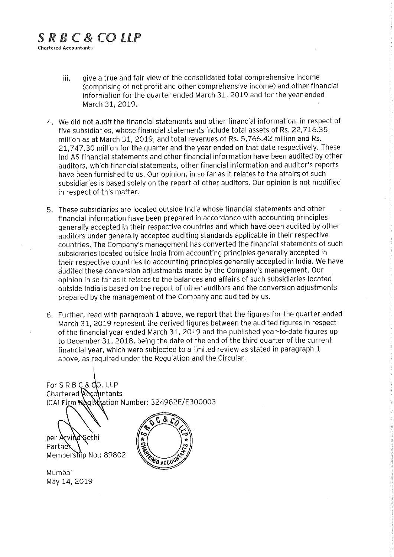# $S$  R B C & CO LLP Chartered Accountants

- iii. give a true and fair view of the consolidated total comprehensive income (comprising of net profit and other comprehensive income) and other financial information for the quarter ended March 31, 2019 and for the year ended March 31, 2019.
- 4. We did not audit the financial statements and other financial information, in respect of five subsidiaries, whose financial statements include total assets of Rs. 22,716.35 million as at March 31, 2019, and total revenues of Rs. 5,766.42 million and Rs. 21,747.30 million for the quarter and the year ended on that date respectively. These Ind AS financial statements and other financial information have been audited by other auditors, which financial statements, other financial information and auditor's reports have been furnished to us. Our opinion, in so far as it relates to the affairs of such subsidiaries is based solely on the report of other auditors. Our opinion is not modified in respect of this matter.
- 5. These subsidiaries are located outside India whose financial statements and other financial information have been prepared in accordance with accounting principles generally accepted in their respective countries and which have been audited by other auditors under generally accepted auditing standards applicable in their respective countries. The Company's management has converted the financial statements of such subsidiaries located outside India from accounting principles generally accepted in their respective countries to accounting principles generally accepted in India. We have audited these conversion adjustments made by the Company's management. Our opinion in so far as it relates to the balances and affairs of such subsidiaries located outside India is based on the report of other auditors and the conversion adjustments prepared by the management of the Company and audited by us.
- 6. Further, read with paragraph 1 above, we report that the figures for the quarter ended March 31, 2019 represent the derived figures between the audited figures in respect of the financial year ended March 31, 2019 and the published year-to-date figures up to December 31, 2018, being the date of the end of the third quarter of the current financial year, which were subjected to a limited review as stated in paragraph 1 above, as required under the Regulation and the Circular.

For S R B C ,LLP Chartered **(**Accountants ICAI Firm **Ra**gi**sth**ation Number: 324982E/E300003

per Arvind Sethi Partner Membership No.: 89802

Mumbai May 14,2019

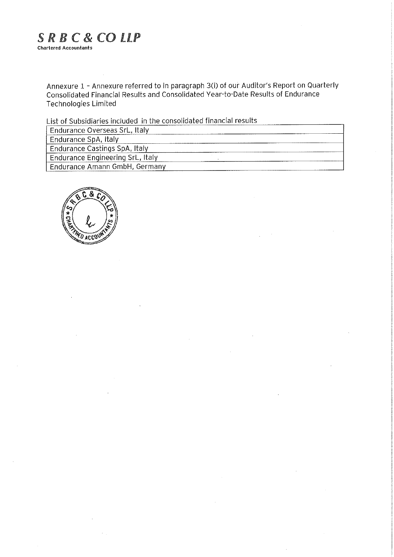# SRBC&COLLP Chartered Accountants

Annexure 1 - Annexure referred to in paragraph 3(i) of our Auditor's Report on Quarterly Consolidated Financial Results and Consolidated Year-to-Date Results of Endurance Technologies Limited

List of Subsidiaries included in the consolidated financial results

| Endurance Overseas SrL, Italy    |
|----------------------------------|
| Endurance SpA, Italy             |
| Endurance Castings SpA, Italy    |
| Endurance Engineering SrL, Italy |
| Endurance Amann GmbH, Germany    |

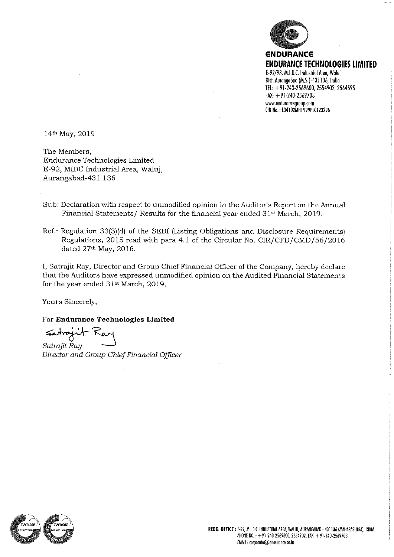

www.endurancegroup.com CIN No.: L34102MH1999PLC123296

14th May, 2019

The Members, Endurance Technologies Limited E-92, MIDC Industrial Area, Waluj, Aurangabad-431 136

- Sub: Declaration with respect to unmodified opinion in the Auditor's Report on the Annual Financial Statements/ Results for the financial year ended 31st March, 2019.
- Ref.: Regulation 33 (3) (d) of the SEBI (Listing Obligations and Disclosure Requirements) Regulations, 2015 read with para 4.1 of the Circular No. CIR/CFD/CMD/56/2016 dated 27<sup>th</sup> May, 2016.

I, Satrajlt Ray, Director and Group Chief Financial Officer of the Company, hereby declare that the Auditors have expressed unmodified opinion on the Audited Financial Statements for the year ended 31st March, 2019.

Yours Sincerely,

For Endurance Technologies Limited

rojnt

Satrajit Ray Director and Group Chief Financial Officer

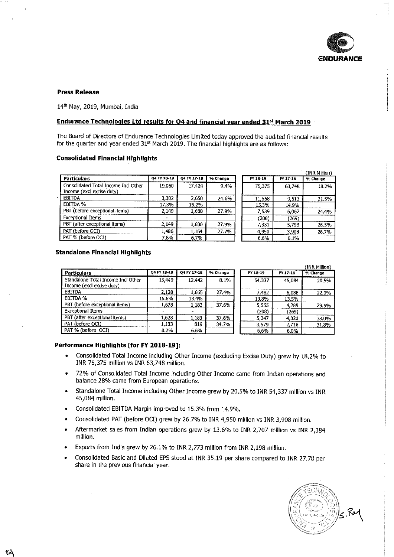

#### Press Release

14<sup>th</sup> May, 2019, Mumbai, India

## Endurance Technologies Ltd results for Q4 and financial year ended 31<sup>st</sup> March 2019

The Board of Directors of Endurance Technologies Limited today approved the audited financial results for the quarter and year ended  $31<sup>st</sup>$  March 2019. The financial highlights are as follows:

## Consolidated Financial Highlights

|                                                                   |             |             |            |          |          | (INR Million) |
|-------------------------------------------------------------------|-------------|-------------|------------|----------|----------|---------------|
| <b>Particulars</b>                                                | 04 FY 18-19 | 04 FY 17-18 | $%$ Change | FY 18-19 | FY 17-18 | % Change      |
| Consolidated Total Income Incl Other<br>Income (excl excise duty) | 19,060      | 17,424      | 9.4%       | 75,375   | 63,748   | 18.2%         |
| <b>EBITDA</b>                                                     | 3.302       | 2.650       | 24.6%      | 11,558   | 9.513    | 21.5%         |
| EBITDA %                                                          | 17.3%       | 15.2%       |            | 15.3%    | 14.9%    |               |
| PBT (before exceptional items)                                    | 2,149       | 1,680       | 27.9%      | 7,539    | 6,062    | 24.4%         |
| <b>Exceptional Items</b>                                          |             |             |            | (208)    | (269)    |               |
| PBT (after exceptional items)                                     | 2,149       | 1,680       | 27.9%      | 7,331    | 5,793    | 26.5%         |
| PAT (before OCI)                                                  | 1,486       | 1,164       | 27.7%      | 4.950    | 3,908    | 26.7%         |
| PAT % (before OCI)                                                | 7.8%        | 6.7%        |            | 6.6%     | 6,1%     |               |

#### Standalone Financial Highlights

|                                                                 |             |             |          |          |          | (INR Million) |
|-----------------------------------------------------------------|-------------|-------------|----------|----------|----------|---------------|
| <b>Particulars</b>                                              | Q4 FY 18-19 | 04 FY 17-18 | % Change | FY 18-19 | FY 17-18 | % Change      |
| Standalone Total Income Incl Other<br>Income (excl excise duty) | 13,449      | 12.442      | 8.1%     | 54.337   | 45.084   | 20.5%         |
| <b>EBITDA</b>                                                   | 2,120       | 1.665       | 27.4%    | 7,482    | 6,088    | 22.9%         |
| EBITDA %                                                        | 15.8%       | 13.4%       |          | 13.8%    | 13.5%    |               |
| PBT (before exceptional items)                                  | 1,628       | 1.183       | 37.6%    | 5,555    | 4.289    | 29.5%         |
| <b>Exceptional Items</b>                                        |             |             |          | (208)    | (269)    |               |
| PBT (after exceptional items)                                   | 1,628       | 1.183       | 37.6%    | 5,347    | 4,020    | 33.0%         |
| PAT (before OCI)                                                | 1,103       | 819         | 34.7%    | 3,579    | 2,716    | 31.8%         |
| PAT % (before OCI)                                              | 8.2%        | 6.6%        |          | 6.6%     | 6.0%     |               |

#### Performance Highlights [for FY 2018-19]:

- Consolidated Total Income including Other Income (excluding Excise Duty) grew by 18.2% to INR 75,375 miiiion vs INR 63/748 million.
- 72% of Consolidated Total Income including Other Income came from Indian operations and balance 28% came from European operations.
- Standalone Total Income including Other Income grew by 20.5% to INR 54/337 miilion vs INR 45,084 million.
- Consolidated EBITDA Margin improved to 15.3% from 14.9%.
- Consolidated PAT (before OCI) grew by 26.7% to INR 4/950 miilion vs INR 3,908 million.
- Affcermarket sales from Indian operations grew by 13.6% to INR 2,707 million vs INR 2/384 million.
- » Exports from India grew by 26.1% to INR 2,773 million from INR 2,198 million.
- Consolidated Basic and Diluted EPS stood at INR 35.19 per share compared to INR 27.78 per share in the previous financial year.